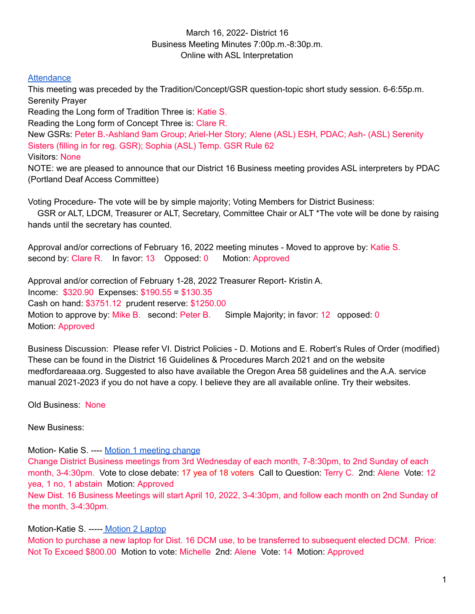## March 16, 2022- District 16 Business Meeting Minutes 7:00p.m.-8:30p.m. Online with ASL Interpretation

## **[Attendance](https://docs.google.com/spreadsheets/d/1Pc7ywA5IN0sO6C4VlcHEEHiMcZ5-ZwDRphutV5q77qs/edit#gid=820125841)**

This meeting was preceded by the Tradition/Concept/GSR question-topic short study session. 6-6:55p.m. Serenity Prayer

Reading the Long form of Tradition Three is: Katie S.

Reading the Long form of Concept Three is: Clare R.

New GSRs: Peter B.-Ashland 9am Group; Ariel-Her Story; Alene (ASL) ESH, PDAC; Ash- (ASL) Serenity Sisters (filling in for reg. GSR); Sophia (ASL) Temp. GSR Rule 62

Visitors: None

NOTE: we are pleased to announce that our District 16 Business meeting provides ASL interpreters by PDAC (Portland Deaf Access Committee)

Voting Procedure- The vote will be by simple majority; Voting Members for District Business:

GSR or ALT, LDCM, Treasurer or ALT, Secretary, Committee Chair or ALT \*The vote will be done by raising hands until the secretary has counted.

Approval and/or corrections of February 16, 2022 meeting minutes - Moved to approve by: Katie S. second by: Clare R. In favor: 13 Opposed: 0 Motion: Approved

Approval and/or correction of February 1-28, 2022 Treasurer Report- Kristin A. Income: \$320.90 Expenses: \$190.55 = \$130.35 Cash on hand: \$3751.12 prudent reserve: \$1250.00 Motion to approve by: Mike B. second: Peter B. Simple Majority; in favor: 12 opposed: 0 Motion: Approved

Business Discussion: Please refer VI. District Policies - D. Motions and E. Robert's Rules of Order (modified) These can be found in the District 16 Guidelines & Procedures March 2021 and on the website medfordareaaa.org. Suggested to also have available the Oregon Area 58 guidelines and the A.A. service manual 2021-2023 if you do not have a copy. I believe they are all available online. Try their websites.

Old Business: None

New Business:

Motion- Katie S. ---- Motion 1 [meeting](https://docs.google.com/document/d/1D7NPIyOZI_d-8oRbTM8L-lD49F6-Fh-OYmQc43IyEjA/edit?usp=sharing) change Change District Business meetings from 3rd Wednesday of each month, 7-8:30pm, to 2nd Sunday of each month, 3-4:30pm. Vote to close debate: 17 yea of 18 voters Call to Question: Terry C. 2nd: Alene Vote: 12 yea, 1 no, 1 abstain Motion: Approved New Dist. 16 Business Meetings will start April 10, 2022, 3-4:30pm, and follow each month on 2nd Sunday of the month, 3-4:30pm.

## Motion-Katie S. ----- Motion 2 [Laptop](https://docs.google.com/document/d/1CcSCsNM3OweNBBkKZtUp3Hj7EfyLPKAjafKpyuGT5KM/edit?usp=sharing)

Motion to purchase a new laptop for Dist. 16 DCM use, to be transferred to subsequent elected DCM. Price: Not To Exceed \$800.00 Motion to vote: Michelle 2nd: Alene Vote: 14 Motion: Approved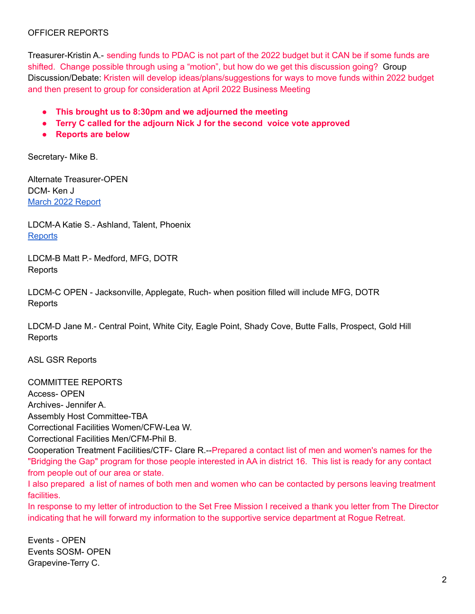## OFFICER REPORTS

Treasurer-Kristin A.- sending funds to PDAC is not part of the 2022 budget but it CAN be if some funds are shifted. Change possible through using a "motion", but how do we get this discussion going? Group Discussion/Debate: Kristen will develop ideas/plans/suggestions for ways to move funds within 2022 budget and then present to group for consideration at April 2022 Business Meeting

- **● This brought us to 8:30pm and we adjourned the meeting**
- **● Terry C called for the adjourn Nick J for the second voice vote approved**
- **● Reports are below**

Secretary- Mike B.

Alternate Treasurer-OPEN DCM- Ken J March 2022 [Report](https://docs.google.com/document/d/1oKdLvdq5al4xFDIHyxuRzFBmpC9dHnA-UHnz7snJ1lA/edit?usp=sharing)

LDCM-A Katie S.- Ashland, Talent, Phoenix **[Reports](https://docs.google.com/document/d/1vaeVSZ4aJhLguwpuHhp58UTFeNi4QbEDFktAjJraNnc/edit?usp=sharing)** 

LDCM-B Matt P.- Medford, MFG, DOTR **Reports** 

LDCM-C OPEN - Jacksonville, Applegate, Ruch- when position filled will include MFG, DOTR Reports

LDCM-D Jane M.- Central Point, White City, Eagle Point, Shady Cove, Butte Falls, Prospect, Gold Hill **Reports** 

ASL GSR Reports

COMMITTEE REPORTS Access- OPEN Archives- Jennifer A. Assembly Host Committee-TBA Correctional Facilities Women/CFW-Lea W. Correctional Facilities Men/CFM-Phil B. Cooperation Treatment Facilities/CTF- Clare R.--Prepared a contact list of men and women's names for the "Bridging the Gap" program for those people interested in AA in district 16. This list is ready for any contact from people out of our area or state. I also prepared a list of names of both men and women who can be contacted by persons leaving treatment facilities. In response to my letter of introduction to the Set Free Mission I received a thank you letter from The Director indicating that he will forward my information to the supportive service department at Rogue Retreat.

Events - OPEN Events SOSM- OPEN Grapevine-Terry C.